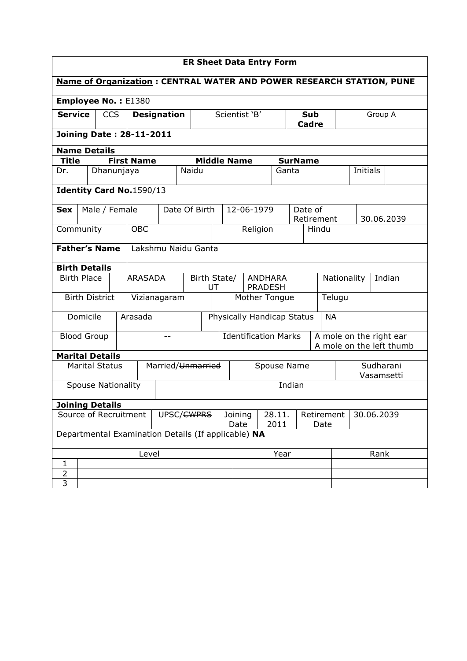|                                                                             | <b>ER Sheet Data Entry Form</b>                     |               |  |            |                                                 |                    |                   |      |                     |                                  |            |         |                |                                                     |      |          |            |  |  |  |
|-----------------------------------------------------------------------------|-----------------------------------------------------|---------------|--|------------|-------------------------------------------------|--------------------|-------------------|------|---------------------|----------------------------------|------------|---------|----------------|-----------------------------------------------------|------|----------|------------|--|--|--|
| <b>Name of Organization: CENTRAL WATER AND POWER RESEARCH STATION, PUNE</b> |                                                     |               |  |            |                                                 |                    |                   |      |                     |                                  |            |         |                |                                                     |      |          |            |  |  |  |
| Employee No.: E1380                                                         |                                                     |               |  |            |                                                 |                    |                   |      |                     |                                  |            |         |                |                                                     |      |          |            |  |  |  |
| <b>Service</b><br><b>CCS</b><br><b>Designation</b>                          |                                                     |               |  |            |                                                 |                    | Scientist 'B'     |      | <b>Sub</b><br>Cadre |                                  |            | Group A |                |                                                     |      |          |            |  |  |  |
|                                                                             | <b>Joining Date: 28-11-2011</b>                     |               |  |            |                                                 |                    |                   |      |                     |                                  |            |         |                |                                                     |      |          |            |  |  |  |
| <b>Name Details</b>                                                         |                                                     |               |  |            |                                                 |                    |                   |      |                     |                                  |            |         |                |                                                     |      |          |            |  |  |  |
| <b>Title</b>                                                                |                                                     |               |  |            | <b>First Name</b>                               |                    |                   |      | <b>Middle Name</b>  |                                  |            |         | <b>SurName</b> |                                                     |      |          |            |  |  |  |
| Dr.                                                                         |                                                     | Dhanunjaya    |  |            |                                                 |                    | Naidu             |      |                     |                                  |            | Ganta   |                |                                                     |      | Initials |            |  |  |  |
| Identity Card No.1590/13                                                    |                                                     |               |  |            |                                                 |                    |                   |      |                     |                                  |            |         |                |                                                     |      |          |            |  |  |  |
| <b>Sex</b>                                                                  |                                                     | Male / Female |  |            |                                                 |                    | Date Of Birth     |      |                     |                                  | 12-06-1979 |         |                | Date of<br>Retirement                               |      |          | 30.06.2039 |  |  |  |
| Community                                                                   |                                                     |               |  | <b>OBC</b> |                                                 |                    |                   |      |                     | Religion                         |            |         |                | Hindu                                               |      |          |            |  |  |  |
|                                                                             | <b>Father's Name</b><br>Lakshmu Naidu Ganta         |               |  |            |                                                 |                    |                   |      |                     |                                  |            |         |                |                                                     |      |          |            |  |  |  |
| <b>Birth Details</b>                                                        |                                                     |               |  |            |                                                 |                    |                   |      |                     |                                  |            |         |                |                                                     |      |          |            |  |  |  |
| <b>Birth Place</b>                                                          |                                                     |               |  |            | <b>ARASADA</b>                                  | Birth State/<br>UT |                   |      |                     | <b>ANDHARA</b><br><b>PRADESH</b> |            |         |                | Indian<br>Nationality                               |      |          |            |  |  |  |
|                                                                             | <b>Birth District</b>                               |               |  |            |                                                 | Vizianagaram       |                   |      | Mother Tongue       |                                  |            |         | Telugu         |                                                     |      |          |            |  |  |  |
|                                                                             | Domicile                                            |               |  | Arasada    |                                                 |                    |                   |      |                     | Physically Handicap Status       |            |         | <b>NA</b>      |                                                     |      |          |            |  |  |  |
| <b>Blood Group</b>                                                          |                                                     |               |  |            |                                                 | --                 |                   |      |                     | <b>Identification Marks</b>      |            |         |                | A mole on the right ear<br>A mole on the left thumb |      |          |            |  |  |  |
| <b>Marital Details</b>                                                      |                                                     |               |  |            |                                                 |                    |                   |      |                     |                                  |            |         |                |                                                     |      |          |            |  |  |  |
|                                                                             | <b>Marital Status</b>                               |               |  |            |                                                 |                    | Married/Unmarried |      |                     | Spouse Name                      |            |         |                | Sudharani<br>Vasamsetti                             |      |          |            |  |  |  |
|                                                                             | <b>Spouse Nationality</b>                           |               |  |            |                                                 |                    |                   |      |                     |                                  |            |         | Indian         |                                                     |      |          |            |  |  |  |
| <b>Joining Details</b>                                                      |                                                     |               |  |            |                                                 |                    |                   |      |                     |                                  |            |         |                |                                                     |      |          |            |  |  |  |
| Source of Recruitment<br>UPSC/ <del>CWPRS</del>                             |                                                     |               |  |            | Joining<br>28.11.<br>Retirement<br>2011<br>Date |                    |                   | Date | 30.06.2039          |                                  |            |         |                |                                                     |      |          |            |  |  |  |
|                                                                             | Departmental Examination Details (If applicable) NA |               |  |            |                                                 |                    |                   |      |                     |                                  |            |         |                |                                                     |      |          |            |  |  |  |
|                                                                             |                                                     |               |  |            | Level                                           |                    |                   |      |                     |                                  |            | Year    |                |                                                     | Rank |          |            |  |  |  |
| 1                                                                           |                                                     |               |  |            |                                                 |                    |                   |      |                     |                                  |            |         |                |                                                     |      |          |            |  |  |  |
| $\overline{2}$<br>3                                                         |                                                     |               |  |            |                                                 |                    |                   |      |                     |                                  |            |         |                |                                                     |      |          |            |  |  |  |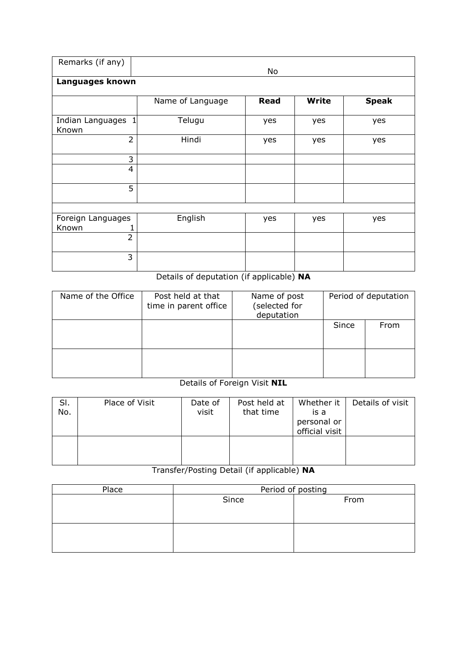| Remarks (if any)               | No               |             |              |              |  |  |  |  |
|--------------------------------|------------------|-------------|--------------|--------------|--|--|--|--|
| Languages known                |                  |             |              |              |  |  |  |  |
|                                | Name of Language | <b>Read</b> | <b>Write</b> | <b>Speak</b> |  |  |  |  |
| Indian Languages<br>1<br>Known | Telugu           | yes         | yes          | yes          |  |  |  |  |
| $\overline{2}$                 | Hindi            | yes         | yes          | yes          |  |  |  |  |
| 3                              |                  |             |              |              |  |  |  |  |
| $\overline{4}$                 |                  |             |              |              |  |  |  |  |
| 5                              |                  |             |              |              |  |  |  |  |
|                                |                  |             |              |              |  |  |  |  |
| Foreign Languages<br>Known     | English          | yes         | yes          | yes          |  |  |  |  |
| $\overline{2}$                 |                  |             |              |              |  |  |  |  |
| 3                              |                  |             |              |              |  |  |  |  |

# Details of deputation (if applicable) NA

| Name of the Office | Post held at that<br>time in parent office | Name of post<br>(selected for<br>deputation | Period of deputation |      |  |  |
|--------------------|--------------------------------------------|---------------------------------------------|----------------------|------|--|--|
|                    |                                            |                                             | Since                | From |  |  |
|                    |                                            |                                             |                      |      |  |  |

# Details of Foreign Visit NIL

| SI.<br>No. | Place of Visit | Date of<br>visit | Post held at<br>that time | Whether it  <br>is a<br>personal or<br>official visit | Details of visit |
|------------|----------------|------------------|---------------------------|-------------------------------------------------------|------------------|
|            |                |                  |                           |                                                       |                  |

# Transfer/Posting Detail (if applicable) NA

| Place | Period of posting |      |  |  |  |  |
|-------|-------------------|------|--|--|--|--|
|       | Since             | From |  |  |  |  |
|       |                   |      |  |  |  |  |
|       |                   |      |  |  |  |  |
|       |                   |      |  |  |  |  |
|       |                   |      |  |  |  |  |
|       |                   |      |  |  |  |  |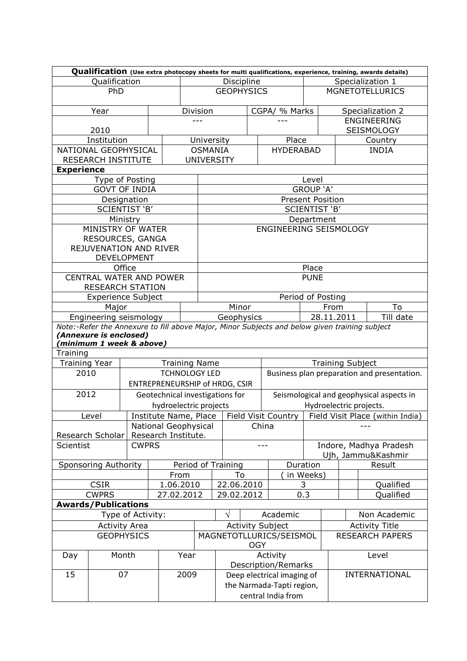|                      | Qualification (Use extra photocopy sheets for multi qualifications, experience, training, awards details) |              |                        |                                       |                                       |                         |               |                                                                                               |                         |                                                                                |                                          |  |  |
|----------------------|-----------------------------------------------------------------------------------------------------------|--------------|------------------------|---------------------------------------|---------------------------------------|-------------------------|---------------|-----------------------------------------------------------------------------------------------|-------------------------|--------------------------------------------------------------------------------|------------------------------------------|--|--|
|                      | Qualification                                                                                             |              |                        | Discipline                            |                                       |                         |               | Specialization 1                                                                              |                         |                                                                                |                                          |  |  |
|                      | PhD                                                                                                       |              |                        |                                       |                                       | <b>GEOPHYSICS</b>       |               |                                                                                               | <b>MGNETOTELLURICS</b>  |                                                                                |                                          |  |  |
|                      | Year                                                                                                      |              |                        | Division                              |                                       |                         | CGPA/ % Marks |                                                                                               |                         |                                                                                | Specialization 2                         |  |  |
|                      |                                                                                                           |              |                        |                                       | $---$                                 |                         |               |                                                                                               |                         |                                                                                | ENGINEERING                              |  |  |
|                      | 2010                                                                                                      |              |                        |                                       |                                       |                         |               |                                                                                               |                         | SEISMOLOGY                                                                     |                                          |  |  |
|                      | Institution                                                                                               |              |                        |                                       |                                       | University              |               | Place                                                                                         |                         |                                                                                | Country                                  |  |  |
|                      | NATIONAL GEOPHYSICAL                                                                                      |              |                        |                                       |                                       | <b>OSMANIA</b>          |               | <b>HYDERABAD</b>                                                                              |                         |                                                                                | <b>INDIA</b>                             |  |  |
|                      | RESEARCH INSTITUTE                                                                                        |              |                        |                                       |                                       | <b>UNIVERSITY</b>       |               |                                                                                               |                         |                                                                                |                                          |  |  |
| <b>Experience</b>    |                                                                                                           |              |                        |                                       |                                       |                         |               |                                                                                               |                         |                                                                                |                                          |  |  |
|                      | Type of Posting                                                                                           |              |                        |                                       |                                       |                         |               |                                                                                               | Level                   |                                                                                |                                          |  |  |
|                      | <b>GOVT OF INDIA</b>                                                                                      |              |                        |                                       |                                       |                         |               |                                                                                               | GROUP 'A'               |                                                                                |                                          |  |  |
|                      | Designation                                                                                               |              |                        |                                       |                                       |                         |               |                                                                                               | <b>Present Position</b> |                                                                                |                                          |  |  |
|                      | SCIENTIST 'B'                                                                                             |              |                        |                                       |                                       |                         |               |                                                                                               | SCIENTIST 'B'           |                                                                                |                                          |  |  |
|                      | Ministry                                                                                                  |              |                        |                                       |                                       |                         |               |                                                                                               | Department              |                                                                                |                                          |  |  |
|                      | MINISTRY OF WATER                                                                                         |              |                        |                                       |                                       |                         |               | ENGINEERING SEISMOLOGY                                                                        |                         |                                                                                |                                          |  |  |
|                      | RESOURCES, GANGA                                                                                          |              |                        |                                       |                                       |                         |               |                                                                                               |                         |                                                                                |                                          |  |  |
|                      | REJUVENATION AND RIVER                                                                                    |              |                        |                                       |                                       |                         |               |                                                                                               |                         |                                                                                |                                          |  |  |
|                      | <b>DEVELOPMENT</b><br>Office                                                                              |              |                        |                                       |                                       |                         |               |                                                                                               | Place                   |                                                                                |                                          |  |  |
|                      | CENTRAL WATER AND POWER                                                                                   |              |                        |                                       |                                       |                         |               |                                                                                               | <b>PUNE</b>             |                                                                                |                                          |  |  |
|                      | <b>RESEARCH STATION</b>                                                                                   |              |                        |                                       |                                       |                         |               |                                                                                               |                         |                                                                                |                                          |  |  |
|                      | <b>Experience Subject</b>                                                                                 |              |                        |                                       |                                       | Period of Posting       |               |                                                                                               |                         |                                                                                |                                          |  |  |
|                      | Major                                                                                                     |              |                        |                                       | Minor<br>From                         |                         |               |                                                                                               |                         |                                                                                | To                                       |  |  |
|                      | Engineering seismology                                                                                    |              |                        |                                       | 28.11.2011<br>Geophysics<br>Till date |                         |               |                                                                                               |                         |                                                                                |                                          |  |  |
|                      | (Annexure is enclosed)<br>(minimum 1 week & above)                                                        |              |                        |                                       |                                       |                         |               | Note:-Refer the Annexure to fill above Major, Minor Subjects and below given training subject |                         |                                                                                |                                          |  |  |
| Training             |                                                                                                           |              |                        |                                       |                                       |                         |               |                                                                                               |                         |                                                                                |                                          |  |  |
| <b>Training Year</b> |                                                                                                           |              |                        | <b>Training Name</b>                  |                                       |                         |               |                                                                                               | <b>Training Subject</b> |                                                                                |                                          |  |  |
| 2010                 |                                                                                                           |              |                        | <b>TCHNOLOGY LED</b>                  |                                       |                         |               | Business plan preparation and presentation.                                                   |                         |                                                                                |                                          |  |  |
|                      |                                                                                                           |              |                        | <b>ENTREPRENEURSHIP of HRDG, CSIR</b> |                                       |                         |               |                                                                                               |                         |                                                                                |                                          |  |  |
| 2012                 |                                                                                                           |              |                        | Geotechnical investigations for       |                                       |                         |               |                                                                                               |                         |                                                                                | Seismological and geophysical aspects in |  |  |
|                      |                                                                                                           |              | hydroelectric projects |                                       |                                       |                         |               |                                                                                               |                         | Hydroelectric projects.                                                        |                                          |  |  |
|                      | Level                                                                                                     |              |                        |                                       |                                       |                         |               |                                                                                               |                         | Institute Name, Place   Field Visit Country   Field Visit Place (within India) |                                          |  |  |
|                      |                                                                                                           |              | National Geophysical   |                                       |                                       | China                   |               |                                                                                               |                         |                                                                                |                                          |  |  |
|                      | Research Scholar                                                                                          |              |                        | Research Institute.                   |                                       |                         |               |                                                                                               |                         |                                                                                |                                          |  |  |
| Scientist            |                                                                                                           | <b>CWPRS</b> |                        |                                       |                                       |                         |               |                                                                                               |                         | Indore, Madhya Pradesh                                                         |                                          |  |  |
|                      |                                                                                                           |              |                        |                                       |                                       |                         |               |                                                                                               |                         |                                                                                | Ujh, Jammu&Kashmir                       |  |  |
|                      | <b>Sponsoring Authority</b>                                                                               |              |                        |                                       |                                       | Period of Training      |               |                                                                                               | Duration                |                                                                                | Result                                   |  |  |
|                      |                                                                                                           |              |                        | From                                  |                                       | To                      |               |                                                                                               | in Weeks)               |                                                                                |                                          |  |  |
|                      | <b>CSIR</b>                                                                                               |              |                        | 1.06.2010                             |                                       | 22.06.2010              |               |                                                                                               | 3                       |                                                                                | Qualified                                |  |  |
|                      | <b>CWPRS</b>                                                                                              |              | 27.02.2012             |                                       |                                       | 29.02.2012              |               |                                                                                               | 0.3                     |                                                                                | Qualified                                |  |  |
|                      | <b>Awards/Publications</b>                                                                                |              |                        |                                       |                                       |                         |               |                                                                                               |                         |                                                                                |                                          |  |  |
| Type of Activity:    |                                                                                                           |              |                        |                                       |                                       |                         |               | Academic                                                                                      |                         |                                                                                | Non Academic                             |  |  |
| <b>Activity Area</b> |                                                                                                           |              |                        |                                       |                                       |                         |               | <b>Activity Subject</b>                                                                       |                         |                                                                                | <b>Activity Title</b>                    |  |  |
| <b>GEOPHYSICS</b>    |                                                                                                           |              |                        |                                       |                                       | MAGNETOTLLURICS/SEISMOL |               |                                                                                               |                         |                                                                                | <b>RESEARCH PAPERS</b>                   |  |  |
|                      |                                                                                                           |              |                        |                                       |                                       | <b>OGY</b>              |               |                                                                                               |                         |                                                                                |                                          |  |  |
| Month<br>Day         |                                                                                                           |              |                        | Year                                  |                                       |                         | Activity      |                                                                                               |                         | Level                                                                          |                                          |  |  |
|                      |                                                                                                           |              |                        |                                       |                                       |                         |               | Description/Remarks                                                                           |                         |                                                                                |                                          |  |  |
| 15                   | 07                                                                                                        |              |                        | 2009                                  |                                       |                         |               | Deep electrical imaging of                                                                    |                         |                                                                                | INTERNATIONAL                            |  |  |
|                      |                                                                                                           |              |                        |                                       |                                       |                         |               | the Narmada-Tapti region,                                                                     |                         |                                                                                |                                          |  |  |
|                      |                                                                                                           |              |                        |                                       |                                       |                         |               | central India from                                                                            |                         |                                                                                |                                          |  |  |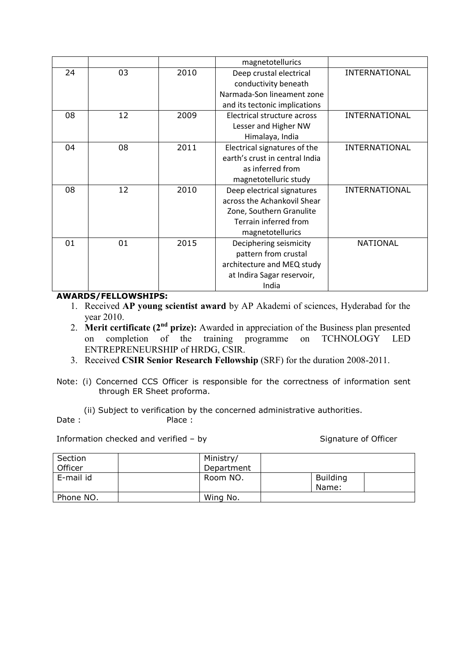|    |    |      | magnetotellurics               |                      |
|----|----|------|--------------------------------|----------------------|
| 24 | 03 | 2010 | Deep crustal electrical        | INTERNATIONAL        |
|    |    |      | conductivity beneath           |                      |
|    |    |      | Narmada-Son lineament zone     |                      |
|    |    |      | and its tectonic implications  |                      |
| 08 | 12 | 2009 | Electrical structure across    | INTERNATIONAL        |
|    |    |      | Lesser and Higher NW           |                      |
|    |    |      | Himalaya, India                |                      |
| 04 | 08 | 2011 | Electrical signatures of the   | INTERNATIONAL        |
|    |    |      | earth's crust in central India |                      |
|    |    |      | as inferred from               |                      |
|    |    |      | magnetotelluric study          |                      |
| 08 | 12 | 2010 | Deep electrical signatures     | <b>INTERNATIONAL</b> |
|    |    |      | across the Achankovil Shear    |                      |
|    |    |      | Zone, Southern Granulite       |                      |
|    |    |      | Terrain inferred from          |                      |
|    |    |      | magnetotellurics               |                      |
| 01 | 01 | 2015 | Deciphering seismicity         | <b>NATIONAL</b>      |
|    |    |      | pattern from crustal           |                      |
|    |    |      | architecture and MEQ study     |                      |
|    |    |      | at Indira Sagar reservoir,     |                      |
|    |    |      | India                          |                      |

### AWARDS/FELLOWSHIPS:

- 1. Received AP young scientist award by AP Akademi of sciences, Hyderabad for the year 2010.
- 2. Merit certificate  $(2<sup>nd</sup> prize)$ : Awarded in appreciation of the Business plan presented on completion of the training programme on TCHNOLOGY LED ENTREPRENEURSHIP of HRDG, CSIR.
- 3. Received CSIR Senior Research Fellowship (SRF) for the duration 2008-2011.
- Note: (i) Concerned CCS Officer is responsible for the correctness of information sent through ER Sheet proforma.
- (ii) Subject to verification by the concerned administrative authorities.<br>
Place: Place :

Information checked and verified – by Signature of Officer

| Section<br>Officer | Ministry/<br>Department |                          |  |
|--------------------|-------------------------|--------------------------|--|
| E-mail id          | Room NO.                | <b>Building</b><br>Name: |  |
| Phone NO.          | Wing No.                |                          |  |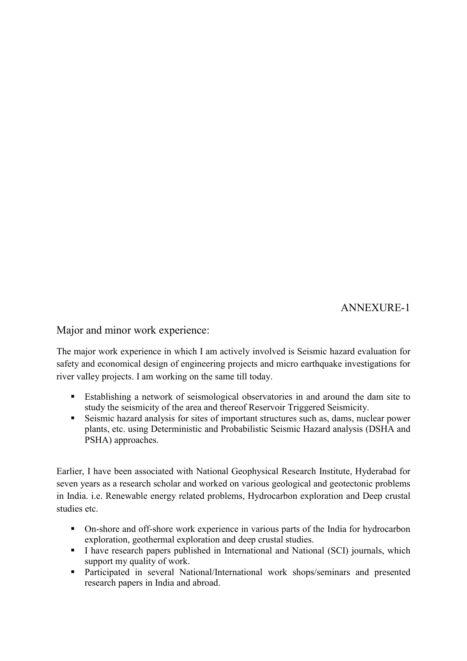ANNEXURE-1

Major and minor work experience:

The major work experience in which I am actively involved is Seismic hazard evaluation for safety and economical design of engineering projects and micro earthquake investigations for river valley projects. I am working on the same till today.

- Establishing a network of seismological observatories in and around the dam site to study the seismicity of the area and thereof Reservoir Triggered Seismicity.
- Seismic hazard analysis for sites of important structures such as, dams, nuclear power plants, etc. using Deterministic and Probabilistic Seismic Hazard analysis (DSHA and PSHA) approaches.

Earlier, I have been associated with National Geophysical Research Institute, Hyderabad for seven years as a research scholar and worked on various geological and geotectonic problems in India. i.e. Renewable energy related problems, Hydrocarbon exploration and Deep crustal studies etc.

- On-shore and off-shore work experience in various parts of the India for hydrocarbon exploration, geothermal exploration and deep crustal studies.
- I have research papers published in International and National (SCI) journals, which support my quality of work.
- Participated in several National/International work shops/seminars and presented research papers in India and abroad.